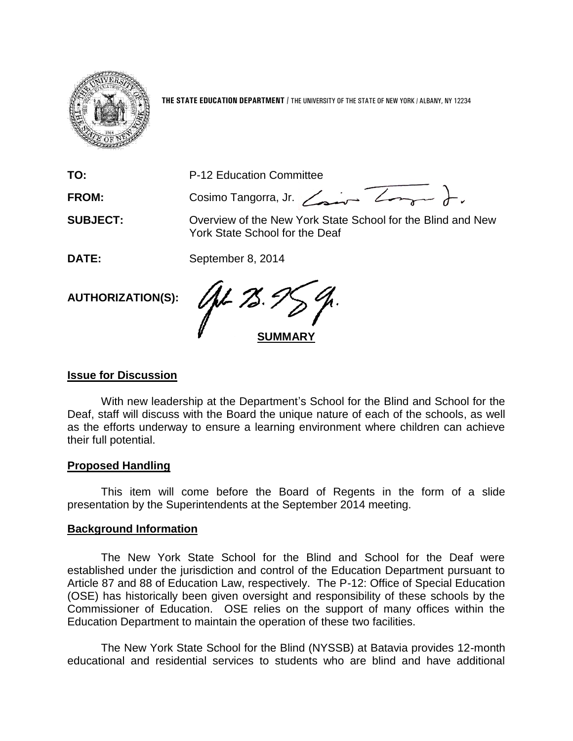

**THE STATE EDUCATION DEPARTMENT** / THE UNIVERSITY OF THE STATE OF NEW YORK / ALBANY, NY 12234

**TO:** P-12 Education Committee

FROM: Cosimo Tangorra, Jr. <u>Zaman Zong</u>am ).

**SUBJECT:** Overview of the New York State School for the Blind and New York State School for the Deaf

**DATE:** September 8, 2014

**AUTHORIZATION(S):**

 $Q\nu Z$ **SUMMARY**

# **Issue for Discussion**

With new leadership at the Department's School for the Blind and School for the Deaf, staff will discuss with the Board the unique nature of each of the schools, as well as the efforts underway to ensure a learning environment where children can achieve their full potential.

## **Proposed Handling**

This item will come before the Board of Regents in the form of a slide presentation by the Superintendents at the September 2014 meeting.

## **Background Information**

The New York State School for the Blind and School for the Deaf were established under the jurisdiction and control of the Education Department pursuant to Article 87 and 88 of Education Law, respectively. The P-12: Office of Special Education (OSE) has historically been given oversight and responsibility of these schools by the Commissioner of Education. OSE relies on the support of many offices within the Education Department to maintain the operation of these two facilities.

The New York State School for the Blind (NYSSB) at Batavia provides 12-month educational and residential services to students who are blind and have additional